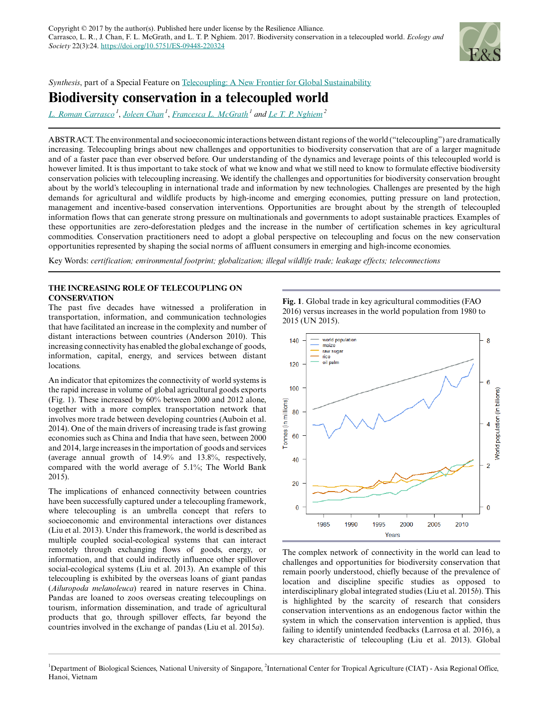

*Synthesis*, part of a Special Feature on [Telecoupling: A New Frontier for Global Sustainability](https://www.ecologyandsociety.org/viewissue.php?sf=125)

# **Biodiversity conservation in a telecoupled world**

*[L. Roman Carrasco](mailto:dbsctlr@nus.edu.sg)<sup>1</sup>* , *[Joleen Chan](mailto:a0083334@u.nus.edu)<sup>1</sup>* , *[Francesca L. McGrath](mailto:fmcgrath@u.nus.edu)<sup>1</sup> and [Le T. P. Nghiem](mailto:nghphuongle@gmail.com)<sup>2</sup>*

ABSTRACT. The environmental and socioeconomic interactions between distant regions of the world ("telecoupling") are dramatically increasing. Telecoupling brings about new challenges and opportunities to biodiversity conservation that are of a larger magnitude and of a faster pace than ever observed before. Our understanding of the dynamics and leverage points of this telecoupled world is however limited. It is thus important to take stock of what we know and what we still need to know to formulate effective biodiversity conservation policies with telecoupling increasing. We identify the challenges and opportunities for biodiversity conservation brought about by the world's telecoupling in international trade and information by new technologies. Challenges are presented by the high demands for agricultural and wildlife products by high-income and emerging economies, putting pressure on land protection, management and incentive-based conservation interventions. Opportunities are brought about by the strength of telecoupled information flows that can generate strong pressure on multinationals and governments to adopt sustainable practices. Examples of these opportunities are zero-deforestation pledges and the increase in the number of certification schemes in key agricultural commodities. Conservation practitioners need to adopt a global perspective on telecoupling and focus on the new conservation opportunities represented by shaping the social norms of affluent consumers in emerging and high-income economies.

Key Words: *certification; environmental footprint; globalization; illegal wildlife trade; leakage effects; teleconnections*

# **THE INCREASING ROLE OF TELECOUPLING ON CONSERVATION**

The past five decades have witnessed a proliferation in transportation, information, and communication technologies that have facilitated an increase in the complexity and number of distant interactions between countries (Anderson 2010). This increasing connectivity has enabled the global exchange of goods, information, capital, energy, and services between distant locations.

An indicator that epitomizes the connectivity of world systems is the rapid increase in volume of global agricultural goods exports (Fig. 1). These increased by 60% between 2000 and 2012 alone, together with a more complex transportation network that involves more trade between developing countries (Auboin et al. 2014). One of the main drivers of increasing trade is fast growing economies such as China and India that have seen, between 2000 and 2014, large increases in the importation of goods and services (average annual growth of 14.9% and 13.8%, respectively, compared with the world average of 5.1%; The World Bank 2015).

The implications of enhanced connectivity between countries have been successfully captured under a telecoupling framework, where telecoupling is an umbrella concept that refers to socioeconomic and environmental interactions over distances (Liu et al. 2013). Under this framework, the world is described as multiple coupled social-ecological systems that can interact remotely through exchanging flows of goods, energy, or information, and that could indirectly influence other spillover social-ecological systems (Liu et al. 2013). An example of this telecoupling is exhibited by the overseas loans of giant pandas (*Ailuropoda melanoleuca*) reared in nature reserves in China. Pandas are loaned to zoos overseas creating telecouplings on tourism, information dissemination, and trade of agricultural products that go, through spillover effects, far beyond the countries involved in the exchange of pandas (Liu et al. 2015*a*).

**Fig. 1**. Global trade in key agricultural commodities (FAO 2016) versus increases in the world population from 1980 to 2015 (UN 2015).



The complex network of connectivity in the world can lead to challenges and opportunities for biodiversity conservation that remain poorly understood, chiefly because of the prevalence of location and discipline specific studies as opposed to interdisciplinary global integrated studies (Liu et al. 2015*b*). This is highlighted by the scarcity of research that considers conservation interventions as an endogenous factor within the system in which the conservation intervention is applied, thus failing to identify unintended feedbacks (Larrosa et al. 2016), a key characteristic of telecoupling (Liu et al. 2013). Global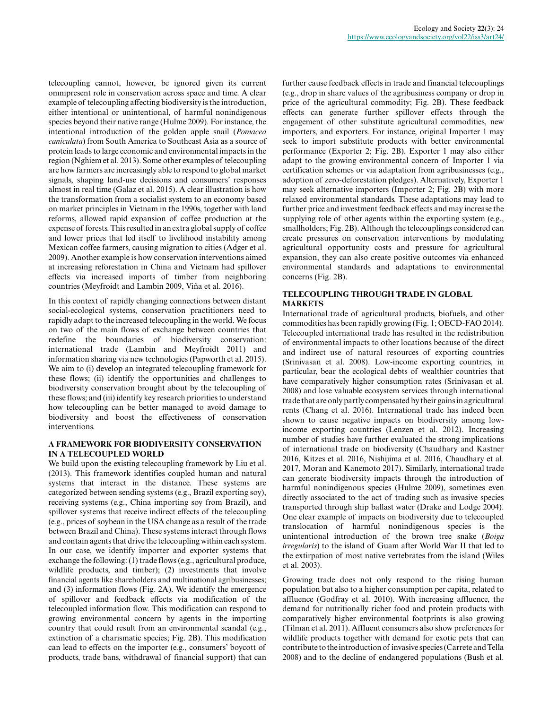telecoupling cannot, however, be ignored given its current omnipresent role in conservation across space and time. A clear example of telecoupling affecting biodiversity is the introduction, either intentional or unintentional, of harmful nonindigenous species beyond their native range (Hulme 2009). For instance, the intentional introduction of the golden apple snail (*Pomacea caniculata*) from South America to Southeast Asia as a source of protein leads to large economic and environmental impacts in the region (Nghiem et al. 2013). Some other examples of telecoupling are how farmers are increasingly able to respond to global market signals, shaping land-use decisions and consumers' responses almost in real time (Galaz et al. 2015). A clear illustration is how the transformation from a socialist system to an economy based on market principles in Vietnam in the 1990s, together with land reforms, allowed rapid expansion of coffee production at the expense of forests. This resulted in an extra global supply of coffee and lower prices that led itself to livelihood instability among Mexican coffee farmers, causing migration to cities (Adger et al. 2009). Another example is how conservation interventions aimed at increasing reforestation in China and Vietnam had spillover effects via increased imports of timber from neighboring countries (Meyfroidt and Lambin 2009, Viña et al. 2016).

In this context of rapidly changing connections between distant social-ecological systems, conservation practitioners need to rapidly adapt to the increased telecoupling in the world. We focus on two of the main flows of exchange between countries that redefine the boundaries of biodiversity conservation: international trade (Lambin and Meyfroidt 2011) and information sharing via new technologies (Papworth et al. 2015). We aim to (i) develop an integrated telecoupling framework for these flows; (ii) identify the opportunities and challenges to biodiversity conservation brought about by the telecoupling of these flows; and (iii) identify key research priorities to understand how telecoupling can be better managed to avoid damage to biodiversity and boost the effectiveness of conservation interventions.

# **A FRAMEWORK FOR BIODIVERSITY CONSERVATION IN A TELECOUPLED WORLD**

We build upon the existing telecoupling framework by Liu et al. (2013). This framework identifies coupled human and natural systems that interact in the distance. These systems are categorized between sending systems (e.g., Brazil exporting soy), receiving systems (e.g., China importing soy from Brazil), and spillover systems that receive indirect effects of the telecoupling (e.g., prices of soybean in the USA change as a result of the trade between Brazil and China). These systems interact through flows and contain agents that drive the telecoupling within each system. In our case, we identify importer and exporter systems that exchange the following: (1) trade flows (e.g., agricultural produce, wildlife products, and timber); (2) investments that involve financial agents like shareholders and multinational agribusinesses; and (3) information flows (Fig. 2A). We identify the emergence of spillover and feedback effects via modification of the telecoupled information flow. This modification can respond to growing environmental concern by agents in the importing country that could result from an environmental scandal (e.g., extinction of a charismatic species; Fig. 2B). This modification can lead to effects on the importer (e.g., consumers' boycott of products, trade bans, withdrawal of financial support) that can further cause feedback effects in trade and financial telecouplings (e.g., drop in share values of the agribusiness company or drop in price of the agricultural commodity; Fig. 2B). These feedback effects can generate further spillover effects through the engagement of other substitute agricultural commodities, new importers, and exporters. For instance, original Importer 1 may seek to import substitute products with better environmental performance (Exporter 2; Fig. 2B). Exporter 1 may also either adapt to the growing environmental concern of Importer 1 via certification schemes or via adaptation from agribusinesses (e.g., adoption of zero-deforestation pledges). Alternatively, Exporter 1 may seek alternative importers (Importer 2; Fig. 2B) with more relaxed environmental standards. These adaptations may lead to further price and investment feedback effects and may increase the supplying role of other agents within the exporting system (e.g., smallholders; Fig. 2B). Although the telecouplings considered can create pressures on conservation interventions by modulating agricultural opportunity costs and pressure for agricultural expansion, they can also create positive outcomes via enhanced environmental standards and adaptations to environmental concerns (Fig. 2B).

# **TELECOUPLING THROUGH TRADE IN GLOBAL MARKETS**

International trade of agricultural products, biofuels, and other commodities has been rapidly growing (Fig. 1; OECD-FAO 2014). Telecoupled international trade has resulted in the redistribution of environmental impacts to other locations because of the direct and indirect use of natural resources of exporting countries (Srinivasan et al. 2008). Low-income exporting countries, in particular, bear the ecological debts of wealthier countries that have comparatively higher consumption rates (Srinivasan et al. 2008) and lose valuable ecosystem services through international trade that are only partly compensated by their gains in agricultural rents (Chang et al. 2016). International trade has indeed been shown to cause negative impacts on biodiversity among lowincome exporting countries (Lenzen et al. 2012). Increasing number of studies have further evaluated the strong implications of international trade on biodiversity (Chaudhary and Kastner 2016, Kitzes et al. 2016, Nishijima et al. 2016, Chaudhary et al. 2017, Moran and Kanemoto 2017). Similarly, international trade can generate biodiversity impacts through the introduction of harmful nonindigenous species (Hulme 2009), sometimes even directly associated to the act of trading such as invasive species transported through ship ballast water (Drake and Lodge 2004). One clear example of impacts on biodiversity due to telecoupled translocation of harmful nonindigenous species is the unintentional introduction of the brown tree snake (*Boiga irregularis*) to the island of Guam after World War II that led to the extirpation of most native vertebrates from the island (Wiles et al. 2003).

Growing trade does not only respond to the rising human population but also to a higher consumption per capita, related to affluence (Godfray et al. 2010). With increasing affluence, the demand for nutritionally richer food and protein products with comparatively higher environmental footprints is also growing (Tilman et al. 2011). Affluent consumers also show preferences for wildlife products together with demand for exotic pets that can contribute to the introduction of invasive species (Carrete and Tella 2008) and to the decline of endangered populations (Bush et al.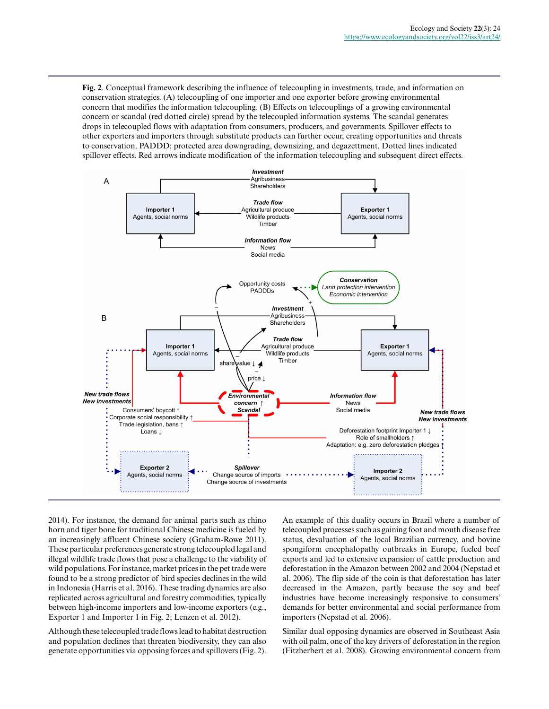**Fig. 2**. Conceptual framework describing the influence of telecoupling in investments, trade, and information on conservation strategies. (A) telecoupling of one importer and one exporter before growing environmental concern that modifies the information telecoupling. (B) Effects on telecouplings of a growing environmental concern or scandal (red dotted circle) spread by the telecoupled information systems. The scandal generates drops in telecoupled flows with adaptation from consumers, producers, and governments. Spillover effects to other exporters and importers through substitute products can further occur, creating opportunities and threats to conservation. PADDD: protected area downgrading, downsizing, and degazettment. Dotted lines indicated spillover effects. Red arrows indicate modification of the information telecoupling and subsequent direct effects.



2014). For instance, the demand for animal parts such as rhino horn and tiger bone for traditional Chinese medicine is fueled by an increasingly affluent Chinese society (Graham-Rowe 2011). These particular preferences generate strong telecoupled legal and illegal wildlife trade flows that pose a challenge to the viability of wild populations. For instance, market prices in the pet trade were found to be a strong predictor of bird species declines in the wild in Indonesia (Harris et al. 2016). These trading dynamics are also replicated across agricultural and forestry commodities, typically between high-income importers and low-income exporters (e.g., Exporter 1 and Importer 1 in Fig. 2; Lenzen et al. 2012).

Although these telecoupled trade flows lead to habitat destruction and population declines that threaten biodiversity, they can also generate opportunities via opposing forces and spillovers (Fig. 2). An example of this duality occurs in Brazil where a number of telecoupled processes such as gaining foot and mouth disease free status, devaluation of the local Brazilian currency, and bovine spongiform encephalopathy outbreaks in Europe, fueled beef exports and led to extensive expansion of cattle production and deforestation in the Amazon between 2002 and 2004 (Nepstad et al. 2006). The flip side of the coin is that deforestation has later decreased in the Amazon, partly because the soy and beef industries have become increasingly responsive to consumers' demands for better environmental and social performance from importers (Nepstad et al. 2006).

Similar dual opposing dynamics are observed in Southeast Asia with oil palm, one of the key drivers of deforestation in the region (Fitzherbert et al. 2008). Growing environmental concern from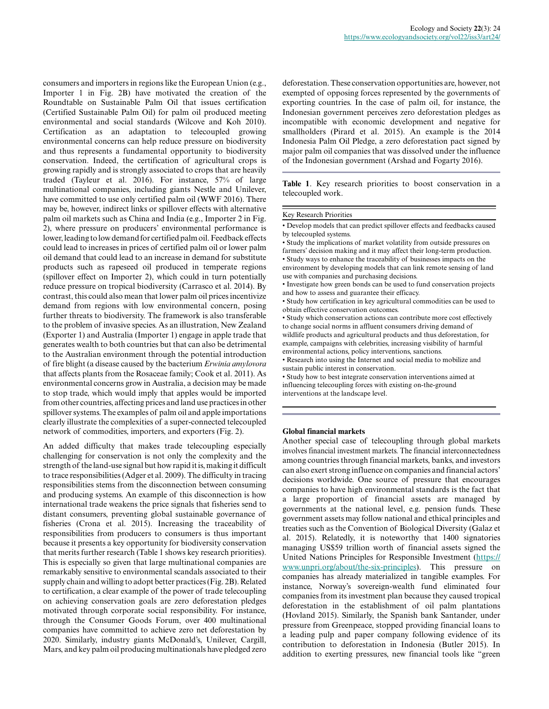consumers and importers in regions like the European Union (e.g., Importer 1 in Fig. 2B) have motivated the creation of the Roundtable on Sustainable Palm Oil that issues certification (Certified Sustainable Palm Oil) for palm oil produced meeting environmental and social standards (Wilcove and Koh 2010). Certification as an adaptation to telecoupled growing environmental concerns can help reduce pressure on biodiversity and thus represents a fundamental opportunity to biodiversity conservation. Indeed, the certification of agricultural crops is growing rapidly and is strongly associated to crops that are heavily traded (Tayleur et al. 2016). For instance, 57% of large multinational companies, including giants Nestle and Unilever, have committed to use only certified palm oil (WWF 2016). There may be, however, indirect links or spillover effects with alternative palm oil markets such as China and India (e.g., Importer 2 in Fig. 2), where pressure on producers' environmental performance is lower, leading to low demand for certified palm oil. Feedback effects could lead to increases in prices of certified palm oil or lower palm oil demand that could lead to an increase in demand for substitute products such as rapeseed oil produced in temperate regions (spillover effect on Importer 2), which could in turn potentially reduce pressure on tropical biodiversity (Carrasco et al. 2014). By contrast, this could also mean that lower palm oil prices incentivize demand from regions with low environmental concern, posing further threats to biodiversity. The framework is also transferable to the problem of invasive species. As an illustration, New Zealand (Exporter 1) and Australia (Importer 1) engage in apple trade that generates wealth to both countries but that can also be detrimental to the Australian environment through the potential introduction of fire blight (a disease caused by the bacterium *Erwinia amylovora* that affects plants from the Rosaceae family; Cook et al. 2011). As environmental concerns grow in Australia, a decision may be made to stop trade, which would imply that apples would be imported from other countries, affecting prices and land use practices in other spillover systems. The examples of palm oil and apple importations clearly illustrate the complexities of a super-connected telecoupled network of commodities, importers, and exporters (Fig. 2).

An added difficulty that makes trade telecoupling especially challenging for conservation is not only the complexity and the strength of the land-use signal but how rapid it is, making it difficult to trace responsibilities (Adger et al. 2009). The difficulty in tracing responsibilities stems from the disconnection between consuming and producing systems. An example of this disconnection is how international trade weakens the price signals that fisheries send to distant consumers, preventing global sustainable governance of fisheries (Crona et al. 2015). Increasing the traceability of responsibilities from producers to consumers is thus important because it presents a key opportunity for biodiversity conservation that merits further research (Table 1 shows key research priorities). This is especially so given that large multinational companies are remarkably sensitive to environmental scandals associated to their supply chain and willing to adopt better practices (Fig. 2B). Related to certification, a clear example of the power of trade telecoupling on achieving conservation goals are zero deforestation pledges motivated through corporate social responsibility. For instance, through the Consumer Goods Forum, over 400 multinational companies have committed to achieve zero net deforestation by 2020. Similarly, industry giants McDonald's, Unilever, Cargill, Mars, and key palm oil producing multinationals have pledged zero

deforestation. These conservation opportunities are, however, not exempted of opposing forces represented by the governments of exporting countries. In the case of palm oil, for instance, the Indonesian government perceives zero deforestation pledges as incompatible with economic development and negative for smallholders (Pirard et al. 2015). An example is the 2014 Indonesia Palm Oil Pledge, a zero deforestation pact signed by major palm oil companies that was dissolved under the influence of the Indonesian government (Arshad and Fogarty 2016).

**Table 1**. Key research priorities to boost conservation in a telecoupled work.

#### Key Research Priorities

• Develop models that can predict spillover effects and feedbacks caused by telecoupled systems.

• Study the implications of market volatility from outside pressures on farmers' decision making and it may affect their long-term production. • Study ways to enhance the traceability of businesses impacts on the environment by developing models that can link remote sensing of land use with companies and purchasing decisions.

• Investigate how green bonds can be used to fund conservation projects and how to assess and guarantee their efficacy.

• Study how certification in key agricultural commodities can be used to obtain effective conservation outcomes.

• Study which conservation actions can contribute more cost effectively to change social norms in affluent consumers driving demand of wildlife products and agricultural products and thus deforestation, for example, campaigns with celebrities, increasing visibility of harmful environmental actions, policy interventions, sanctions.

• Research into using the Internet and social media to mobilize and sustain public interest in conservation.

• Study how to best integrate conservation interventions aimed at influencing telecoupling forces with existing on-the-ground interventions at the landscape level.

#### **Global financial markets**

Another special case of telecoupling through global markets involves financial investment markets. The financial interconnectedness among countries through financial markets, banks, and investors can also exert strong influence on companies and financial actors' decisions worldwide. One source of pressure that encourages companies to have high environmental standards is the fact that a large proportion of financial assets are managed by governments at the national level, e.g. pension funds. These government assets may follow national and ethical principles and treaties such as the Convention of Biological Diversity (Galaz et al. 2015). Relatedly, it is noteworthy that 1400 signatories managing US\$59 trillion worth of financial assets signed the United Nations Principles for Responsible Investment [\(https://](https://www.unpri.org/about/the-six-principles) [www.unpri.org/about/the-six-principles](https://www.unpri.org/about/the-six-principles)). This pressure on companies has already materialized in tangible examples. For instance, Norway's sovereign-wealth fund eliminated four companies from its investment plan because they caused tropical deforestation in the establishment of oil palm plantations (Hovland 2015). Similarly, the Spanish bank Santander, under pressure from Greenpeace, stopped providing financial loans to a leading pulp and paper company following evidence of its contribution to deforestation in Indonesia (Butler 2015). In addition to exerting pressures, new financial tools like "green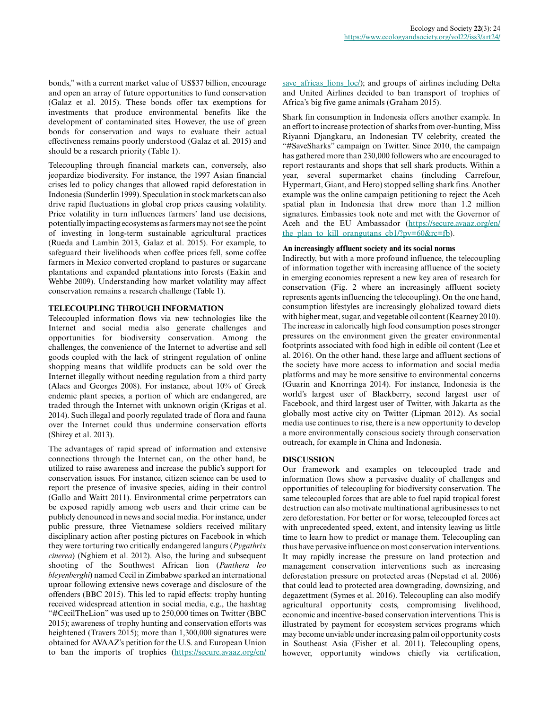bonds," with a current market value of US\$37 billion, encourage and open an array of future opportunities to fund conservation (Galaz et al. 2015). These bonds offer tax exemptions for investments that produce environmental benefits like the development of contaminated sites. However, the use of green bonds for conservation and ways to evaluate their actual effectiveness remains poorly understood (Galaz et al. 2015) and should be a research priority (Table 1).

Telecoupling through financial markets can, conversely, also jeopardize biodiversity. For instance, the 1997 Asian financial crises led to policy changes that allowed rapid deforestation in Indonesia (Sunderlin 1999). Speculation in stock markets can also drive rapid fluctuations in global crop prices causing volatility. Price volatility in turn influences farmers' land use decisions, potentially impacting ecosystems as farmers may not see the point of investing in long-term sustainable agricultural practices (Rueda and Lambin 2013, Galaz et al. 2015). For example, to safeguard their livelihoods when coffee prices fell, some coffee farmers in Mexico converted cropland to pastures or sugarcane plantations and expanded plantations into forests (Eakin and Wehbe 2009). Understanding how market volatility may affect conservation remains a research challenge (Table 1).

## **TELECOUPLING THROUGH INFORMATION**

Telecoupled information flows via new technologies like the Internet and social media also generate challenges and opportunities for biodiversity conservation. Among the challenges, the convenience of the Internet to advertise and sell goods coupled with the lack of stringent regulation of online shopping means that wildlife products can be sold over the Internet illegally without needing regulation from a third party (Alacs and Georges 2008). For instance, about 10% of Greek endemic plant species, a portion of which are endangered, are traded through the Internet with unknown origin (Krigas et al. 2014). Such illegal and poorly regulated trade of flora and fauna over the Internet could thus undermine conservation efforts (Shirey et al. 2013).

The advantages of rapid spread of information and extensive connections through the Internet can, on the other hand, be utilized to raise awareness and increase the public's support for conservation issues. For instance, citizen science can be used to report the presence of invasive species, aiding in their control (Gallo and Waitt 2011). Environmental crime perpetrators can be exposed rapidly among web users and their crime can be publicly denounced in news and social media. For instance, under public pressure, three Vietnamese soldiers received military disciplinary action after posting pictures on Facebook in which they were torturing two critically endangered langurs (*Pygathrix cinerea*) (Nghiem et al. 2012). Also, the luring and subsequent shooting of the Southwest African lion (*Panthera leo bleyenberghi*) named Cecil in Zimbabwe sparked an international uproar following extensive news coverage and disclosure of the offenders (BBC 2015). This led to rapid effects: trophy hunting received widespread attention in social media, e.g., the hashtag "#CecilTheLion" was used up to 250,000 times on Twitter (BBC 2015); awareness of trophy hunting and conservation efforts was heightened (Travers 2015); more than 1,300,000 signatures were obtained for AVAAZ's petition for the U.S. and European Union to ban the imports of trophies [\(https://secure.avaaz.org/en/](https://secure.avaaz.org/en/save_africas_lions_loc/)

[save\\_africas\\_lions\\_loc/\)](https://secure.avaaz.org/en/save_africas_lions_loc/); and groups of airlines including Delta and United Airlines decided to ban transport of trophies of Africa's big five game animals (Graham 2015).

Shark fin consumption in Indonesia offers another example. In an effort to increase protection of sharks from over-hunting, Miss Riyanni Djangkaru, an Indonesian TV celebrity, created the "#SaveSharks" campaign on Twitter. Since 2010, the campaign has gathered more than 230,000 followers who are encouraged to report restaurants and shops that sell shark products. Within a year, several supermarket chains (including Carrefour, Hypermart, Giant, and Hero) stopped selling shark fins. Another example was the online campaign petitioning to reject the Aceh spatial plan in Indonesia that drew more than 1.2 million signatures. Embassies took note and met with the Governor of Aceh and the EU Ambassador [\(https://secure.avaaz.org/en/](https://secure.avaaz.org/en/the_plan_to_kill_orangutans_cb1/?pv=60&rc=fb) the plan to kill orangutans  $cb1/?pv=60&cc=fb$ .

## **An increasingly affluent society and its social norms**

Indirectly, but with a more profound influence, the telecoupling of information together with increasing affluence of the society in emerging economies represent a new key area of research for conservation (Fig. 2 where an increasingly affluent society represents agents influencing the telecoupling). On the one hand, consumption lifestyles are increasingly globalized toward diets with higher meat, sugar, and vegetable oil content (Kearney 2010). The increase in calorically high food consumption poses stronger pressures on the environment given the greater environmental footprints associated with food high in edible oil content (Lee et al. 2016). On the other hand, these large and affluent sections of the society have more access to information and social media platforms and may be more sensitive to environmental concerns (Guarin and Knorringa 2014). For instance, Indonesia is the world's largest user of Blackberry, second largest user of Facebook, and third largest user of Twitter, with Jakarta as the globally most active city on Twitter (Lipman 2012). As social media use continues to rise, there is a new opportunity to develop a more environmentally conscious society through conservation outreach, for example in China and Indonesia.

# **DISCUSSION**

Our framework and examples on telecoupled trade and information flows show a pervasive duality of challenges and opportunities of telecoupling for biodiversity conservation. The same telecoupled forces that are able to fuel rapid tropical forest destruction can also motivate multinational agribusinesses to net zero deforestation. For better or for worse, telecoupled forces act with unprecedented speed, extent, and intensity leaving us little time to learn how to predict or manage them. Telecoupling can thus have pervasive influence on most conservation interventions. It may rapidly increase the pressure on land protection and management conservation interventions such as increasing deforestation pressure on protected areas (Nepstad et al. 2006) that could lead to protected area downgrading, downsizing, and degazettment (Symes et al. 2016). Telecoupling can also modify agricultural opportunity costs, compromising livelihood, economic and incentive-based conservation interventions. This is illustrated by payment for ecosystem services programs which may become unviable under increasing palm oil opportunity costs in Southeast Asia (Fisher et al. 2011). Telecoupling opens, however, opportunity windows chiefly via certification,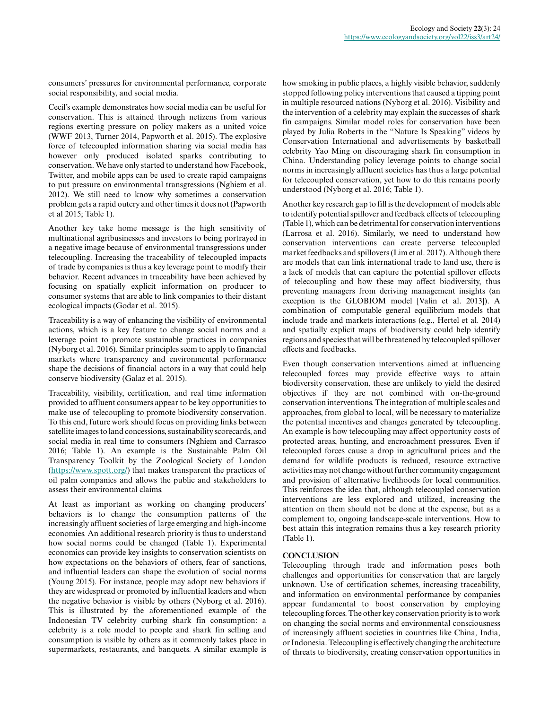consumers' pressures for environmental performance, corporate social responsibility, and social media.

Cecil's example demonstrates how social media can be useful for conservation. This is attained through netizens from various regions exerting pressure on policy makers as a united voice (WWF 2013, Turner 2014, Papworth et al. 2015). The explosive force of telecoupled information sharing via social media has however only produced isolated sparks contributing to conservation. We have only started to understand how Facebook, Twitter, and mobile apps can be used to create rapid campaigns to put pressure on environmental transgressions (Nghiem et al. 2012). We still need to know why sometimes a conservation problem gets a rapid outcry and other times it does not (Papworth et al 2015; Table 1).

Another key take home message is the high sensitivity of multinational agribusinesses and investors to being portrayed in a negative image because of environmental transgressions under telecoupling. Increasing the traceability of telecoupled impacts of trade by companies is thus a key leverage point to modify their behavior. Recent advances in traceability have been achieved by focusing on spatially explicit information on producer to consumer systems that are able to link companies to their distant ecological impacts (Godar et al. 2015).

Traceability is a way of enhancing the visibility of environmental actions, which is a key feature to change social norms and a leverage point to promote sustainable practices in companies (Nyborg et al. 2016). Similar principles seem to apply to financial markets where transparency and environmental performance shape the decisions of financial actors in a way that could help conserve biodiversity (Galaz et al. 2015).

Traceability, visibility, certification, and real time information provided to affluent consumers appear to be key opportunities to make use of telecoupling to promote biodiversity conservation. To this end, future work should focus on providing links between satellite images to land concessions, sustainability scorecards, and social media in real time to consumers (Nghiem and Carrasco 2016; Table 1). An example is the Sustainable Palm Oil Transparency Toolkit by the Zoological Society of London ([https://www.spott.org/\)](https://www.spott.org/) that makes transparent the practices of oil palm companies and allows the public and stakeholders to assess their environmental claims.

At least as important as working on changing producers' behaviors is to change the consumption patterns of the increasingly affluent societies of large emerging and high-income economies. An additional research priority is thus to understand how social norms could be changed (Table 1). Experimental economics can provide key insights to conservation scientists on how expectations on the behaviors of others, fear of sanctions, and influential leaders can shape the evolution of social norms (Young 2015). For instance, people may adopt new behaviors if they are widespread or promoted by influential leaders and when the negative behavior is visible by others (Nyborg et al. 2016). This is illustrated by the aforementioned example of the Indonesian TV celebrity curbing shark fin consumption: a celebrity is a role model to people and shark fin selling and consumption is visible by others as it commonly takes place in supermarkets, restaurants, and banquets. A similar example is how smoking in public places, a highly visible behavior, suddenly stopped following policy interventions that caused a tipping point in multiple resourced nations (Nyborg et al. 2016). Visibility and the intervention of a celebrity may explain the successes of shark fin campaigns. Similar model roles for conservation have been played by Julia Roberts in the "Nature Is Speaking" videos by Conservation International and advertisements by basketball celebrity Yao Ming on discouraging shark fin consumption in China. Understanding policy leverage points to change social norms in increasingly affluent societies has thus a large potential for telecoupled conservation, yet how to do this remains poorly understood (Nyborg et al. 2016; Table 1).

Another key research gap to fill is the development of models able to identify potential spillover and feedback effects of telecoupling (Table 1), which can be detrimental for conservation interventions (Larrosa et al. 2016). Similarly, we need to understand how conservation interventions can create perverse telecoupled market feedbacks and spillovers (Lim et al. 2017). Although there are models that can link international trade to land use, there is a lack of models that can capture the potential spillover effects of telecoupling and how these may affect biodiversity, thus preventing managers from deriving management insights (an exception is the GLOBIOM model [Valin et al. 2013]). A combination of computable general equilibrium models that include trade and markets interactions (e.g., Hertel et al. 2014) and spatially explicit maps of biodiversity could help identify regions and species that will be threatened by telecoupled spillover effects and feedbacks.

Even though conservation interventions aimed at influencing telecoupled forces may provide effective ways to attain biodiversity conservation, these are unlikely to yield the desired objectives if they are not combined with on-the-ground conservation interventions. The integration of multiple scales and approaches, from global to local, will be necessary to materialize the potential incentives and changes generated by telecoupling. An example is how telecoupling may affect opportunity costs of protected areas, hunting, and encroachment pressures. Even if telecoupled forces cause a drop in agricultural prices and the demand for wildlife products is reduced, resource extractive activities may not change without further community engagement and provision of alternative livelihoods for local communities. This reinforces the idea that, although telecoupled conservation interventions are less explored and utilized, increasing the attention on them should not be done at the expense, but as a complement to, ongoing landscape-scale interventions. How to best attain this integration remains thus a key research priority (Table 1).

# **CONCLUSION**

Telecoupling through trade and information poses both challenges and opportunities for conservation that are largely unknown. Use of certification schemes, increasing traceability, and information on environmental performance by companies appear fundamental to boost conservation by employing telecoupling forces. The other key conservation priority is to work on changing the social norms and environmental consciousness of increasingly affluent societies in countries like China, India, or Indonesia. Telecoupling is effectively changing the architecture of threats to biodiversity, creating conservation opportunities in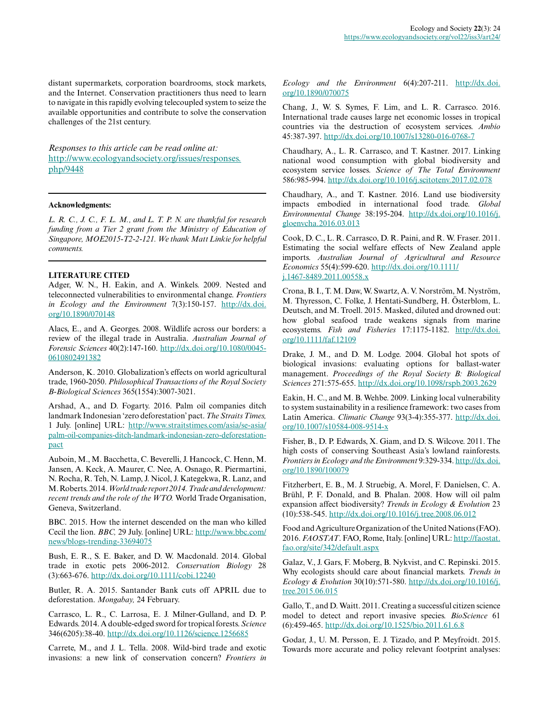distant supermarkets, corporation boardrooms, stock markets, and the Internet. Conservation practitioners thus need to learn to navigate in this rapidly evolving telecoupled system to seize the available opportunities and contribute to solve the conservation challenges of the 21st century.

*Responses to this article can be read online at:* [http://www.ecologyandsociety.org/issues/responses.](http://www.ecologyandsociety.org/issues/responses.php/9448) [php/9448](http://www.ecologyandsociety.org/issues/responses.php/9448)

#### **Acknowledgments:**

*L. R. C., J. C., F. L. M., and L. T. P. N. are thankful for research funding from a Tier 2 grant from the Ministry of Education of Singapore, MOE2015-T2-2-121. We thank Matt Linkie for helpful comments.*

#### **LITERATURE CITED**

Adger, W. N., H. Eakin, and A. Winkels. 2009. Nested and teleconnected vulnerabilities to environmental change. *Frontiers in Ecology and the Environment* 7(3):150-157. [http://dx.doi.](http://dx.doi.org/10.1890%2F070148) [org/10.1890/070148](http://dx.doi.org/10.1890%2F070148)

Alacs, E., and A. Georges. 2008. Wildlife across our borders: a review of the illegal trade in Australia. *Australian Journal of Forensic Sciences* 40(2):147-160. [http://dx.doi.org/10.1080/0045](http://dx.doi.org/10.1080%2F00450610802491382) [0610802491382](http://dx.doi.org/10.1080%2F00450610802491382)

Anderson, K. 2010. Globalization's effects on world agricultural trade, 1960-2050. *Philosophical Transactions of the Royal Society B-Biological Sciences* 365(1554):3007-3021.

Arshad, A., and D. Fogarty. 2016. Palm oil companies ditch landmark Indonesian 'zero deforestation' pact. *The Straits Times,* 1 July. [online] URL: [http://www.straitstimes.com/asia/se-asia/](http://www.straitstimes.com/asia/se-asia/palm-oil-companies-ditch-landmark-indonesian-zero-deforestation-pact) [palm-oil-companies-ditch-landmark-indonesian-zero-deforestation](http://www.straitstimes.com/asia/se-asia/palm-oil-companies-ditch-landmark-indonesian-zero-deforestation-pact)[pact](http://www.straitstimes.com/asia/se-asia/palm-oil-companies-ditch-landmark-indonesian-zero-deforestation-pact)

Auboin, M., M. Bacchetta, C. Beverelli, J. Hancock, C. Henn, M. Jansen, A. Keck, A. Maurer, C. Nee, A. Osnago, R. Piermartini, N. Rocha, R. Teh, N. Lamp, J. Nicol, J. Kategekwa, R. Lanz, and M. Roberts. 2014. *World trade report 2014. Trade and development: recent trends and the role of the WTO.* World Trade Organisation, Geneva, Switzerland.

BBC. 2015. How the internet descended on the man who killed Cecil the lion. *BBC,* 29 July. [online] URL: [http://www.bbc.com/](http://www.bbc.com/news/blogs-trending-33694075) [news/blogs-trending-33694075](http://www.bbc.com/news/blogs-trending-33694075)

Bush, E. R., S. E. Baker, and D. W. Macdonald. 2014. Global trade in exotic pets 2006-2012. *Conservation Biology* 28 (3):663-676. [http://dx.doi.org/10.1111/cobi.12240](http://dx.doi.org/10.1111%2Fcobi.12240)

Butler, R. A. 2015. Santander Bank cuts off APRIL due to deforestation. *Mongabay,* 24 February.

Carrasco, L. R., C. Larrosa, E. J. Milner-Gulland, and D. P. Edwards. 2014. A double-edged sword for tropical forests. *Science* 346(6205):38-40. [http://dx.doi.org/10.1126/science.1256685](http://dx.doi.org/10.1126%2Fscience.1256685)

Carrete, M., and J. L. Tella. 2008. Wild-bird trade and exotic invasions: a new link of conservation concern? *Frontiers in* *Ecology and the Environment* 6(4):207-211. [http://dx.doi.](http://dx.doi.org/10.1890%2F070075) [org/10.1890/070075](http://dx.doi.org/10.1890%2F070075)

Chang, J., W. S. Symes, F. Lim, and L. R. Carrasco. 2016. International trade causes large net economic losses in tropical countries via the destruction of ecosystem services. *Ambio* 45:387-397. [http://dx.doi.org/10.1007/s13280-016-0768-7](http://dx.doi.org/10.1007%2Fs13280-016-0768-7)

Chaudhary, A., L. R. Carrasco, and T. Kastner. 2017. Linking national wood consumption with global biodiversity and ecosystem service losses. *Science of The Total Environment* 586:985-994. [http://dx.doi.org/10.1016/j.scitotenv.2017.02.078](http://dx.doi.org/10.1016%2Fj.scitotenv.2017.02.078) 

Chaudhary, A., and T. Kastner. 2016. Land use biodiversity impacts embodied in international food trade. *Global Environmental Change* 38:195-204. [http://dx.doi.org/10.1016/j.](http://dx.doi.org/10.1016%2Fj.gloenvcha.2016.03.013) [gloenvcha.2016.03.013](http://dx.doi.org/10.1016%2Fj.gloenvcha.2016.03.013)

Cook, D. C., L. R. Carrasco, D. R. Paini, and R. W. Fraser. 2011. Estimating the social welfare effects of New Zealand apple imports. *Australian Journal of Agricultural and Resource Economics* 55(4):599-620. [http://dx.doi.org/10.1111/](http://dx.doi.org/10.1111%2Fj.1467-8489.2011.00558.x) [j.1467-8489.2011.00558.x](http://dx.doi.org/10.1111%2Fj.1467-8489.2011.00558.x)

Crona, B. I., T. M. Daw, W. Swartz, A. V. Norström, M. Nyström, M. Thyresson, C. Folke, J. Hentati-Sundberg, H. Österblom, L. Deutsch, and M. Troell. 2015. Masked, diluted and drowned out: how global seafood trade weakens signals from marine ecosystems. *Fish and Fisheries* 17:1175-1182. [http://dx.doi.](http://dx.doi.org/10.1111%2Ffaf.12109) [org/10.1111/faf.12109](http://dx.doi.org/10.1111%2Ffaf.12109)

Drake, J. M., and D. M. Lodge. 2004. Global hot spots of biological invasions: evaluating options for ballast-water management. *Proceedings of the Royal Society B: Biological Sciences* 271:575-655. [http://dx.doi.org/10.1098/rspb.2003.2629](http://dx.doi.org/10.1098%2Frspb.2003.2629) 

Eakin, H. C., and M. B. Wehbe. 2009. Linking local vulnerability to system sustainability in a resilience framework: two cases from Latin America. *Climatic Change* 93(3-4):355-377. [http://dx.doi.](http://dx.doi.org/10.1007%2Fs10584-008-9514-x) [org/10.1007/s10584-008-9514-x](http://dx.doi.org/10.1007%2Fs10584-008-9514-x)

Fisher, B., D. P. Edwards, X. Giam, and D. S. Wilcove. 2011. The high costs of conserving Southeast Asia's lowland rainforests. *Frontiers in Ecology and the Environment* 9:329-334. [http://dx.doi.](http://dx.doi.org/10.1890%2F100079) [org/10.1890/100079](http://dx.doi.org/10.1890%2F100079)

Fitzherbert, E. B., M. J. Struebig, A. Morel, F. Danielsen, C. A. Brühl, P. F. Donald, and B. Phalan. 2008. How will oil palm expansion affect biodiversity? *Trends in Ecology & Evolution* 23 (10):538-545. [http://dx.doi.org/10.1016/j.tree.2008.06.012](http://dx.doi.org/10.1016%2Fj.tree.2008.06.012) 

Food and Agriculture Organization of the United Nations (FAO). 2016. *FAOSTAT*. FAO, Rome, Italy. [online] URL: [http://faostat.](http://faostat.fao.org/site/342/default.aspx) [fao.org/site/342/default.aspx](http://faostat.fao.org/site/342/default.aspx) 

Galaz, V., J. Gars, F. Moberg, B. Nykvist, and C. Repinski. 2015. Why ecologists should care about financial markets. *Trends in Ecology & Evolution* 30(10):571-580. [http://dx.doi.org/10.1016/j.](http://dx.doi.org/10.1016%2Fj.tree.2015.06.015) [tree.2015.06.015](http://dx.doi.org/10.1016%2Fj.tree.2015.06.015) 

Gallo, T., and D. Waitt. 2011. Creating a successful citizen science model to detect and report invasive species. *BioScience* 61 (6):459-465. [http://dx.doi.org/10.1525/bio.2011.61.6.8](http://dx.doi.org/10.1525%2Fbio.2011.61.6.8) 

Godar, J., U. M. Persson, E. J. Tizado, and P. Meyfroidt. 2015. Towards more accurate and policy relevant footprint analyses: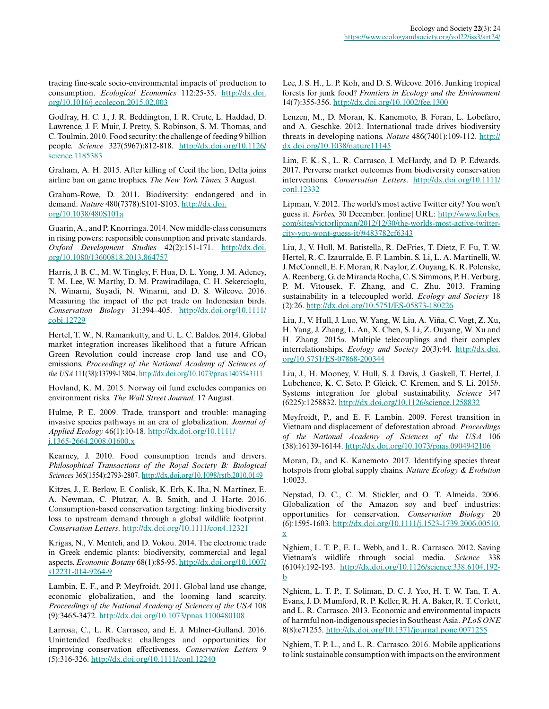tracing fine-scale socio-environmental impacts of production to consumption. *Ecological Economics* 112:25-35. [http://dx.doi.](http://dx.doi.org/10.1016%2Fj.ecolecon.2015.02.003) [org/10.1016/j.ecolecon.2015.02.003](http://dx.doi.org/10.1016%2Fj.ecolecon.2015.02.003) 

Godfray, H. C. J., J. R. Beddington, I. R. Crute, L. Haddad, D. Lawrence, J. F. Muir, J. Pretty, S. Robinson, S. M. Thomas, and C. Toulmin. 2010. Food security: the challenge of feeding 9 billion people. *Science* 327(5967):812-818. [http://dx.doi.org/10.1126/](http://dx.doi.org/10.1126%2Fscience.1185383) [science.1185383](http://dx.doi.org/10.1126%2Fscience.1185383)

Graham, A. H. 2015. After killing of Cecil the lion, Delta joins airline ban on game trophies. *The New York Times,* 3 August.

Graham-Rowe, D. 2011. Biodiversity: endangered and in demand. *Nature* 480(7378):S101-S103. [http://dx.doi.](http://dx.doi.org/10.1038%2F480S101a) [org/10.1038/480S101a](http://dx.doi.org/10.1038%2F480S101a) 

Guarin, A., and P. Knorringa. 2014. New middle-class consumers in rising powers: responsible consumption and private standards. *Oxford Development Studies* 42(2):151-171. [http://dx.doi.](http://dx.doi.org/10.1080%2F13600818.2013.864757) [org/10.1080/13600818.2013.864757](http://dx.doi.org/10.1080%2F13600818.2013.864757)

Harris, J. B. C., M. W. Tingley, F. Hua, D. L. Yong, J. M. Adeney, T. M. Lee, W. Marthy, D. M. Prawiradilaga, C. H. Sekercioglu, N. Winarni, Suyadi, N. Winarni, and D. S. Wilcove. 2016. Measuring the impact of the pet trade on Indonesian birds. *Conservation Biology* 31:394–405. [http://dx.doi.org/10.1111/](http://dx.doi.org/10.1111%2Fcobi.12729) [cobi.12729](http://dx.doi.org/10.1111%2Fcobi.12729)

Hertel, T. W., N. Ramankutty, and U. L. C. Baldos. 2014. Global market integration increases likelihood that a future African Green Revolution could increase crop land use and  $CO<sub>2</sub>$ emissions. *Proceedings of the National Academy of Sciences of the USA* 111(38):13799-13804. [http://dx.doi.org/10.1073/pnas.1403543111](http://dx.doi.org/10.1073%2Fpnas.1403543111)

Hovland, K. M. 2015. Norway oil fund excludes companies on environment risks. *The Wall Street Journal,* 17 August.

Hulme, P. E. 2009. Trade, transport and trouble: managing invasive species pathways in an era of globalization. *Journal of Applied Ecology* 46(1):10-18. [http://dx.doi.org/10.1111/](http://dx.doi.org/10.1111%2Fj.1365-2664.2008.01600.x) [j.1365-2664.2008.01600.x](http://dx.doi.org/10.1111%2Fj.1365-2664.2008.01600.x)

Kearney, J. 2010. Food consumption trends and drivers. *Philosophical Transactions of the Royal Society B: Biological Sciences* 365(1554):2793-2807. [http://dx.doi.org/10.1098/rstb.2010.0149](http://dx.doi.org/10.1098%2Frstb.2010.0149)

Kitzes, J., E. Berlow, E. Conlisk, K. Erb, K. Iha, N. Martinez, E. A. Newman, C. Plutzar, A. B. Smith, and J. Harte. 2016. Consumption-based conservation targeting: linking biodiversity loss to upstream demand through a global wildlife footprint. *Conservation Letters*. [http://dx.doi.org/10.1111/con4.12321](http://dx.doi.org/10.1111%2Fcon4.12321)

Krigas, N., V. Menteli, and D. Vokou. 2014. The electronic trade in Greek endemic plants: biodiversity, commercial and legal aspects. *Economic Botany* 68(1):85-95. [http://dx.doi.org/10.1007/](http://dx.doi.org/10.1007%2Fs12231-014-9264-9) [s12231-014-9264-9](http://dx.doi.org/10.1007%2Fs12231-014-9264-9) 

Lambin, E. F., and P. Meyfroidt. 2011. Global land use change, economic globalization, and the looming land scarcity. *Proceedings of the National Academy of Sciences of the USA* 108 (9):3465-3472. [http://dx.doi.org/10.1073/pnas.1100480108](http://dx.doi.org/10.1073%2Fpnas.1100480108) 

Larrosa, C., L. R. Carrasco, and E. J. Milner-Gulland. 2016. Unintended feedbacks: challenges and opportunities for improving conservation effectiveness. *Conservation Letters* 9 (5):316-326. [http://dx.doi.org/10.1111/conl.12240](http://dx.doi.org/10.1111%2Fconl.12240)

Lee, J. S. H., L. P. Koh, and D. S. Wilcove. 2016. Junking tropical forests for junk food? *Frontiers in Ecology and the Environment* 14(7):355-356. [http://dx.doi.org/10.1002/fee.1300](http://dx.doi.org/10.1002%2Ffee.1300) 

Lenzen, M., D. Moran, K. Kanemoto, B. Foran, L. Lobefaro, and A. Geschke. 2012. International trade drives biodiversity threats in developing nations. *Nature* 486(7401):109-112. [http://](http://dx.doi.org/10.1038%2Fnature11145) [dx.doi.org/10.1038/nature11145](http://dx.doi.org/10.1038%2Fnature11145) 

Lim, F. K. S., L. R. Carrasco, J. McHardy, and D. P. Edwards. 2017. Perverse market outcomes from biodiversity conservation interventions. *Conservation Letters*. [http://dx.doi.org/10.1111/](http://dx.doi.org/10.1111%2Fconl.12332) [conl.12332](http://dx.doi.org/10.1111%2Fconl.12332)

Lipman, V. 2012. The world's most active Twitter city? You won't guess it. *Forbes,* 30 December. [online] URL: [http://www.forbes.](http://www.forbes.com/sites/victorlipman/2012/12/30/the-worlds-most-active-twitter-city-you-wont-guess-it/#483782cf6343) [com/sites/victorlipman/2012/12/30/the-worlds-most-active-twitter](http://www.forbes.com/sites/victorlipman/2012/12/30/the-worlds-most-active-twitter-city-you-wont-guess-it/#483782cf6343)[city-you-wont-guess-it/#483782cf6343](http://www.forbes.com/sites/victorlipman/2012/12/30/the-worlds-most-active-twitter-city-you-wont-guess-it/#483782cf6343)

Liu, J., V. Hull, M. Batistella, R. DeFries, T. Dietz, F. Fu, T. W. Hertel, R. C. Izaurralde, E. F. Lambin, S. Li, L. A. Martinelli, W. J. McConnell, E. F. Moran, R. Naylor, Z. Ouyang, K. R. Polenske, A. Reenberg, G. de Miranda Rocha, C. S. Simmons, P. H. Verburg, P. M. Vitousek, F. Zhang, and C. Zhu. 2013. Framing sustainability in a telecoupled world. *Ecology and Society* 18 (2):26. [http://dx.doi.org/10.5751/ES-05873-180226](http://dx.doi.org/10.5751%2FES-05873-180226)

Liu, J., V. Hull, J. Luo, W. Yang, W. Liu, A. Viña, C. Vogt, Z. Xu, H. Yang, J. Zhang, L. An, X. Chen, S. Li, Z. Ouyang, W. Xu and H. Zhang. 2015*a*. Multiple telecouplings and their complex interrelationships. *Ecology and Society* 20(3):44. [http://dx.doi.](http://dx.doi.org/10.5751%2FES-07868-200344) [org/10.5751/ES-07868-200344](http://dx.doi.org/10.5751%2FES-07868-200344) 

Liu, J., H. Mooney, V. Hull, S. J. Davis, J. Gaskell, T. Hertel, J. Lubchenco, K. C. Seto, P. Gleick, C. Kremen, and S. Li. 2015*b*. Systems integration for global sustainability. *Science* 347 (6225):1258832. [http://dx.doi.org/10.1126/science.1258832](http://dx.doi.org/10.1126%2Fscience.1258832)

Meyfroidt, P., and E. F. Lambin. 2009. Forest transition in Vietnam and displacement of deforestation abroad. *Proceedings of the National Academy of Sciences of the USA* 106 (38):16139-16144. [http://dx.doi.org/10.1073/pnas.0904942106](http://dx.doi.org/10.1073%2Fpnas.0904942106)

Moran, D., and K. Kanemoto. 2017. Identifying species threat hotspots from global supply chains. *Nature Ecology & Evolution* 1:0023.

Nepstad, D. C., C. M. Stickler, and O. T. Almeida. 2006. Globalization of the Amazon soy and beef industries: opportunities for conservation. *Conservation Biology* 20 (6):1595-1603. [http://dx.doi.org/10.1111/j.1523-1739.2006.00510.](http://dx.doi.org/10.1111%2Fj.1523-1739.2006.00510.x) [x](http://dx.doi.org/10.1111%2Fj.1523-1739.2006.00510.x) 

Nghiem, L. T. P., E. L. Webb, and L. R. Carrasco. 2012. Saving Vietnam's wildlife through social media. *Science* 338 (6104):192-193. [http://dx.doi.org/10.1126/science.338.6104.192](http://dx.doi.org/10.1126%2Fscience.338.6104.192-b) [b](http://dx.doi.org/10.1126%2Fscience.338.6104.192-b) 

Nghiem, L. T. P., T. Soliman, D. C. J. Yeo, H. T. W. Tan, T. A. Evans, J. D. Mumford, R. P. Keller, R. H. A. Baker, R. T. Corlett, and L. R. Carrasco. 2013. Economic and environmental impacts of harmful non-indigenous species in Southeast Asia. *PLoS ONE* 8(8):e71255. [http://dx.doi.org/10.1371/journal.pone.0071255](http://dx.doi.org/10.1371%2Fjournal.pone.0071255)

Nghiem, T. P. L., and L. R. Carrasco. 2016. Mobile applications to link sustainable consumption with impacts on the environment